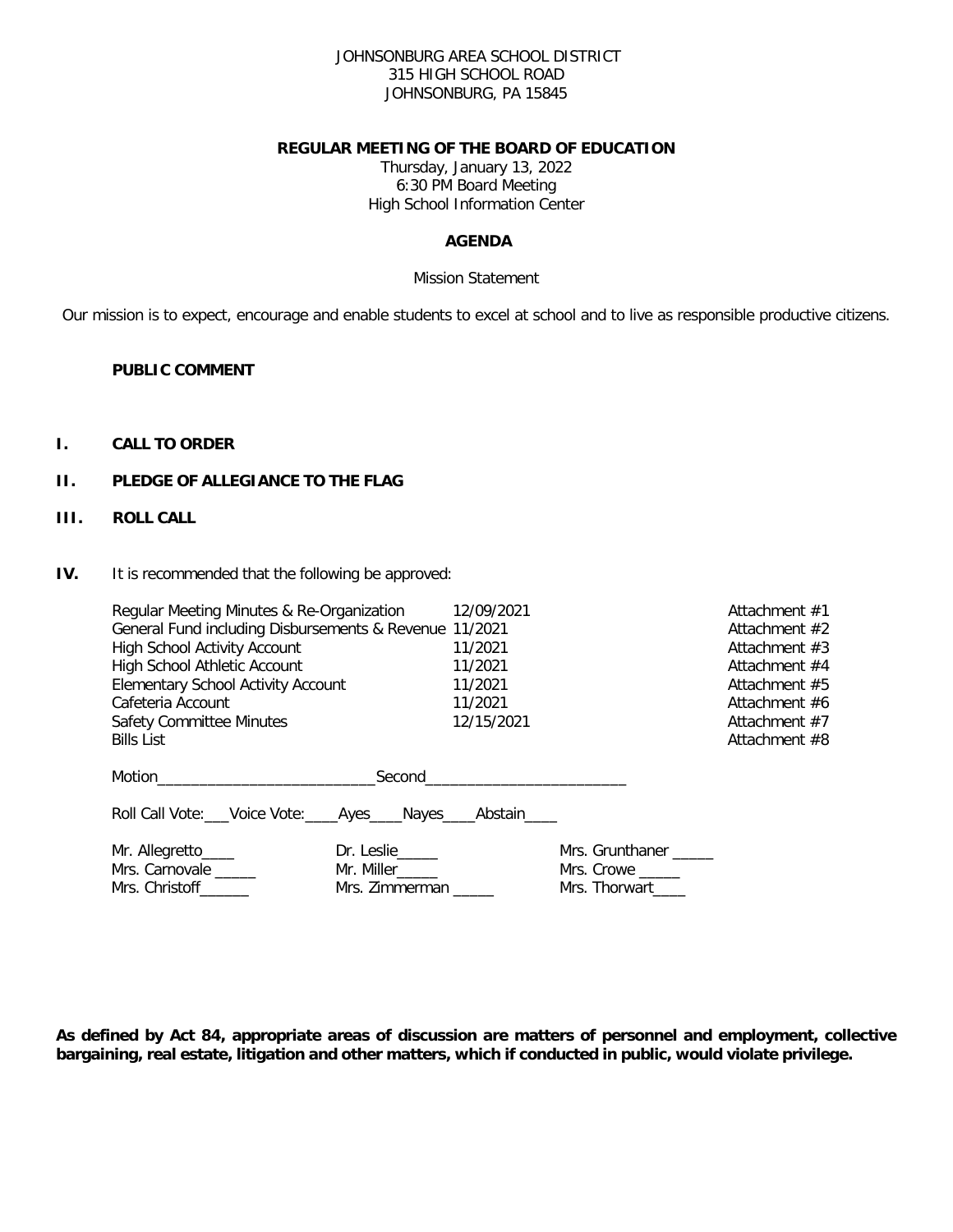### JOHNSONBURG AREA SCHOOL DISTRICT 315 HIGH SCHOOL ROAD JOHNSONBURG, PA 15845

### **REGULAR MEETING OF THE BOARD OF EDUCATION**

Thursday, January 13, 2022 6:30 PM Board Meeting High School Information Center

## **AGENDA**

### Mission Statement

Our mission is to expect, encourage and enable students to excel at school and to live as responsible productive citizens.

### **PUBLIC COMMENT**

## **I. CALL TO ORDER**

## **II. PLEDGE OF ALLEGIANCE TO THE FLAG**

## **III. ROLL CALL**

**IV.** It is recommended that the following be approved:

| Regular Meeting Minutes & Re-Organization<br>General Fund including Disbursements & Revenue 11/2021<br><b>High School Activity Account</b><br><b>High School Athletic Account</b><br><b>Elementary School Activity Account</b> |                                                    | 12/09/2021<br>11/2021<br>11/2021<br>11/2021 |                                                | Attachment $#1$<br>Attachment #2<br>Attachment #3<br>Attachment #4<br>Attachment #5 |
|--------------------------------------------------------------------------------------------------------------------------------------------------------------------------------------------------------------------------------|----------------------------------------------------|---------------------------------------------|------------------------------------------------|-------------------------------------------------------------------------------------|
| Cafeteria Account                                                                                                                                                                                                              |                                                    | 11/2021                                     |                                                | Attachment #6                                                                       |
| <b>Safety Committee Minutes</b>                                                                                                                                                                                                |                                                    | 12/15/2021                                  |                                                | Attachment $#7$                                                                     |
| <b>Bills List</b>                                                                                                                                                                                                              |                                                    |                                             |                                                | Attachment #8                                                                       |
| Motion <b>Example 2018</b><br>Roll Call Vote: ___ Voice Vote: ____ Ayes ____ Nayes ____ Abstain ____                                                                                                                           |                                                    | Second<br><u>Second</u><br><u>Second</u>    |                                                |                                                                                     |
| Mr. Allegretto_____<br>Mrs. Carnovale _____<br>Mrs. Christoff_______                                                                                                                                                           | $Dr.$ Leslie<br>Mr. Miller______<br>Mrs. Zimmerman |                                             | Mrs. Grunthaner<br>Mrs. Crowe<br>Mrs. Thorwart |                                                                                     |

**As defined by Act 84, appropriate areas of discussion are matters of personnel and employment, collective bargaining, real estate, litigation and other matters, which if conducted in public, would violate privilege.**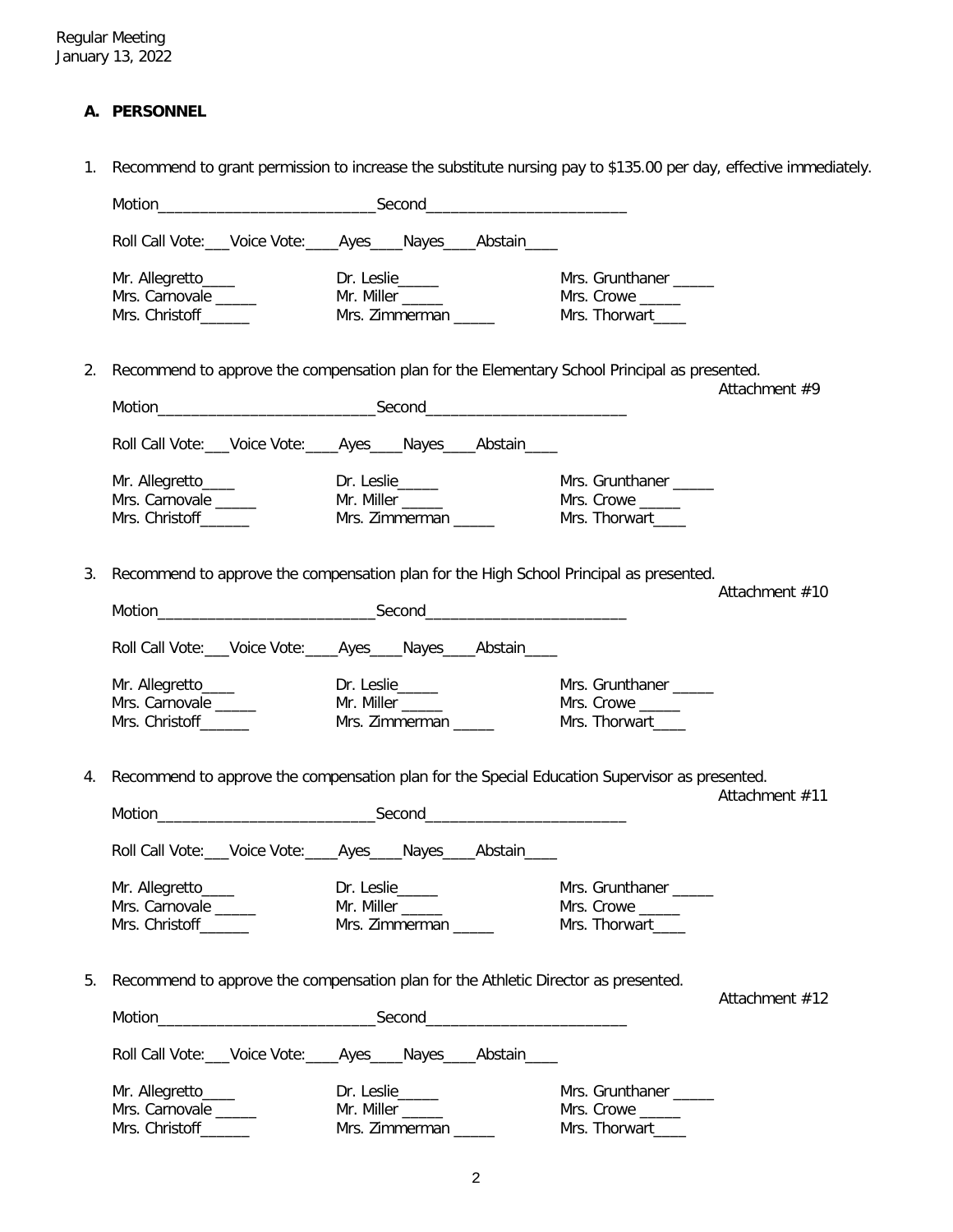# **A. PERSONNEL**

1. Recommend to grant permission to increase the substitute nursing pay to \$135.00 per day, effective immediately.

|    |                                                                     | Motion Second Second Second Second Second Second Second Second Second Second Second Second Second Second Second Second Second Second Second Second Second Second Second Second Second Second Second Second Second Second Secon |                                                                                                                 |
|----|---------------------------------------------------------------------|--------------------------------------------------------------------------------------------------------------------------------------------------------------------------------------------------------------------------------|-----------------------------------------------------------------------------------------------------------------|
|    |                                                                     | Roll Call Vote: Voice Vote: Ayes Nayes Abstain                                                                                                                                                                                 |                                                                                                                 |
|    | Mr. Allegretto____<br>Mrs. Carnovale<br>Mrs. Christoff _______      | Dr. Leslie______<br>Mr. Miller ______<br>Mrs. Zimmerman ______                                                                                                                                                                 | Mrs. Grunthaner<br>Mrs. Crowe<br>Mrs. Thorwart____                                                              |
| 2. |                                                                     | Recommend to approve the compensation plan for the Elementary School Principal as presented.                                                                                                                                   | Attachment #9                                                                                                   |
|    |                                                                     |                                                                                                                                                                                                                                |                                                                                                                 |
|    |                                                                     | Roll Call Vote: Voice Vote: _____ Ayes _____ Nayes _____ Abstain _____                                                                                                                                                         |                                                                                                                 |
|    | Mr. Allegretto____<br>Mrs. Carnovale<br>Mrs. Christoff______        | Dr. Leslie_____<br>Mr. Miller _____<br>Mrs. Zimmerman _____                                                                                                                                                                    | Mrs. Grunthaner _____<br>Mrs. Crowe _____<br>Mrs. Thorwart____                                                  |
| 3. |                                                                     | Recommend to approve the compensation plan for the High School Principal as presented.                                                                                                                                         | Attachment #10                                                                                                  |
|    |                                                                     |                                                                                                                                                                                                                                |                                                                                                                 |
|    |                                                                     | Roll Call Vote: Voice Vote: _____ Ayes_____ Nayes_____ Abstain_____                                                                                                                                                            |                                                                                                                 |
|    | Mr. Allegretto_____<br>Mrs. Carnovale _____<br>Mrs. Christoff______ | Dr. Leslie<br>Mr. Miller _____<br>Mrs. Zimmerman _____                                                                                                                                                                         | Mrs. Grunthaner _____<br>Mrs. Crowe<br>Mrs. Thorwart                                                            |
| 4. |                                                                     |                                                                                                                                                                                                                                | Recommend to approve the compensation plan for the Special Education Supervisor as presented.<br>Attachment #11 |
|    |                                                                     |                                                                                                                                                                                                                                |                                                                                                                 |
|    |                                                                     | Roll Call Vote: Voice Vote: Ayes Nayes Abstain                                                                                                                                                                                 |                                                                                                                 |
|    | Mr. Allegretto_____<br>Mrs. Carnovale _____                         | Dr. Leslie<br>Mr. Miller _____                                                                                                                                                                                                 | Mrs. Grunthaner __<br>Mrs. Crowe                                                                                |
|    | Mrs. Christoff______                                                | Mrs. Zimmerman                                                                                                                                                                                                                 | Mrs. Thorwart____                                                                                               |
| 5. |                                                                     | Recommend to approve the compensation plan for the Athletic Director as presented.                                                                                                                                             |                                                                                                                 |
|    |                                                                     |                                                                                                                                                                                                                                | Attachment #12                                                                                                  |
|    |                                                                     | Roll Call Vote: __Voice Vote: ____Ayes ____ Nayes ____ Abstain ____                                                                                                                                                            |                                                                                                                 |
|    | Mr. Allegretto_____                                                 | Dr. Leslie_____                                                                                                                                                                                                                | Mrs. Grunthaner                                                                                                 |
|    | Mrs. Carnovale                                                      | Mr. Miller ______                                                                                                                                                                                                              | Mrs. Crowe                                                                                                      |
|    | Mrs. Christoff______                                                | Mrs. Zimmerman _____                                                                                                                                                                                                           | Mrs. Thorwart____                                                                                               |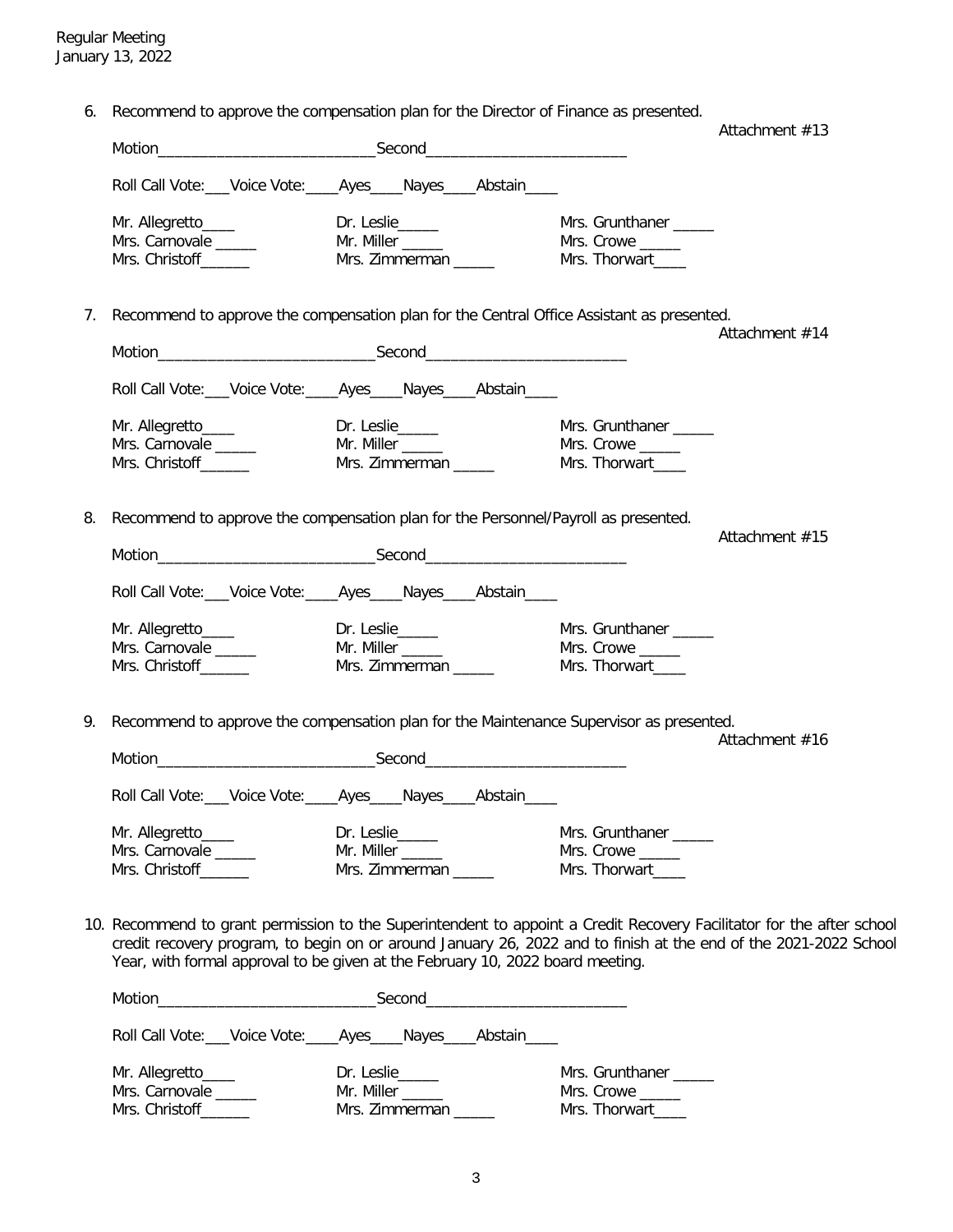6. Recommend to approve the compensation plan for the Director of Finance as presented.

|    |                                                                                                                                                                                                    |                       |                       | Attachment $#13$ |
|----|----------------------------------------------------------------------------------------------------------------------------------------------------------------------------------------------------|-----------------------|-----------------------|------------------|
|    |                                                                                                                                                                                                    |                       |                       |                  |
|    | Roll Call Vote: Voice Vote: Ayes Nayes Abstain                                                                                                                                                     |                       |                       |                  |
|    | Mr. Allegretto____                                                                                                                                                                                 | Dr. Leslie_____       | Mrs. Grunthaner _____ |                  |
|    | Mrs. Carnovale ______                                                                                                                                                                              |                       |                       |                  |
|    | Mrs. Christoff______                                                                                                                                                                               | Mrs. Zimmerman _____  | Mrs. Thorwart_____    |                  |
| 7. | Recommend to approve the compensation plan for the Central Office Assistant as presented.                                                                                                          |                       |                       |                  |
|    |                                                                                                                                                                                                    |                       |                       | Attachment #14   |
|    |                                                                                                                                                                                                    |                       |                       |                  |
|    | Roll Call Vote: Voice Vote: Ayes Nayes Abstain                                                                                                                                                     |                       |                       |                  |
|    | Mr. Allegretto____                                                                                                                                                                                 | Dr. Leslie_____       | Mrs. Grunthaner       |                  |
|    | Mrs. Carnovale _____                                                                                                                                                                               | Mr. Miller _____      | Mrs. Crowe _____      |                  |
|    | Mrs. Christoff______                                                                                                                                                                               | Mrs. Zimmerman ______ | Mrs. Thorwart____     |                  |
| 8. | Recommend to approve the compensation plan for the Personnel/Payroll as presented.                                                                                                                 |                       |                       |                  |
|    |                                                                                                                                                                                                    |                       |                       | Attachment #15   |
|    |                                                                                                                                                                                                    |                       |                       |                  |
|    | Roll Call Vote: Voice Vote: Ayes Nayes Abstain                                                                                                                                                     |                       |                       |                  |
|    | Mr. Allegretto____                                                                                                                                                                                 | Dr. Leslie            | Mrs. Grunthaner _____ |                  |
|    | Mrs. Carnovale _____                                                                                                                                                                               | Mr. Miller _____      | Mrs. Crowe            |                  |
|    | Mrs. Christoff_______                                                                                                                                                                              | Mrs. Zimmerman _____  | Mrs. Thorwart____     |                  |
| 9. | Recommend to approve the compensation plan for the Maintenance Supervisor as presented.                                                                                                            |                       |                       |                  |
|    |                                                                                                                                                                                                    |                       |                       | Attachment #16   |
|    |                                                                                                                                                                                                    |                       |                       |                  |
|    | Roll Call Vote: Voice Vote: Ayes Nayes Abstain                                                                                                                                                     |                       |                       |                  |
|    | Mr. Allegretto_____                                                                                                                                                                                | Dr. Leslie_____       | Mrs. Grunthaner _____ |                  |
|    | Mrs. Carnovale _____                                                                                                                                                                               | Mr. Miller            | Mrs. Crowe            |                  |
|    | Mrs. Christoff______                                                                                                                                                                               | Mrs. Zimmerman _____  | Mrs. Thorwart____     |                  |
|    | 10. Recommend to grant permission to the Superintendent to appoint a Credit Recovery Facilitator for the after school                                                                              |                       |                       |                  |
|    | credit recovery program, to begin on or around January 26, 2022 and to finish at the end of the 2021-2022 School<br>Year, with formal approval to be given at the February 10, 2022 board meeting. |                       |                       |                  |
|    |                                                                                                                                                                                                    |                       |                       |                  |
|    | Roll Call Vote: Voice Vote: _____ Ayes _____ Nayes _____ Abstain _____                                                                                                                             |                       |                       |                  |
|    | Mr. Allegretto_____                                                                                                                                                                                | Dr. Leslie            | Mrs. Grunthaner _____ |                  |
|    | Mrs Carnovale Mr Miller                                                                                                                                                                            |                       | Mrs Crowe             |                  |

Mrs. Carnovale \_\_\_\_\_\_ Mr. Miller \_\_\_\_\_\_ Mrs. Crowe \_\_\_\_\_\_ Mrs. Christoff\_\_\_\_\_\_\_ Mrs. Zimmerman \_\_\_\_\_\_ Mrs. Thorwart\_\_\_\_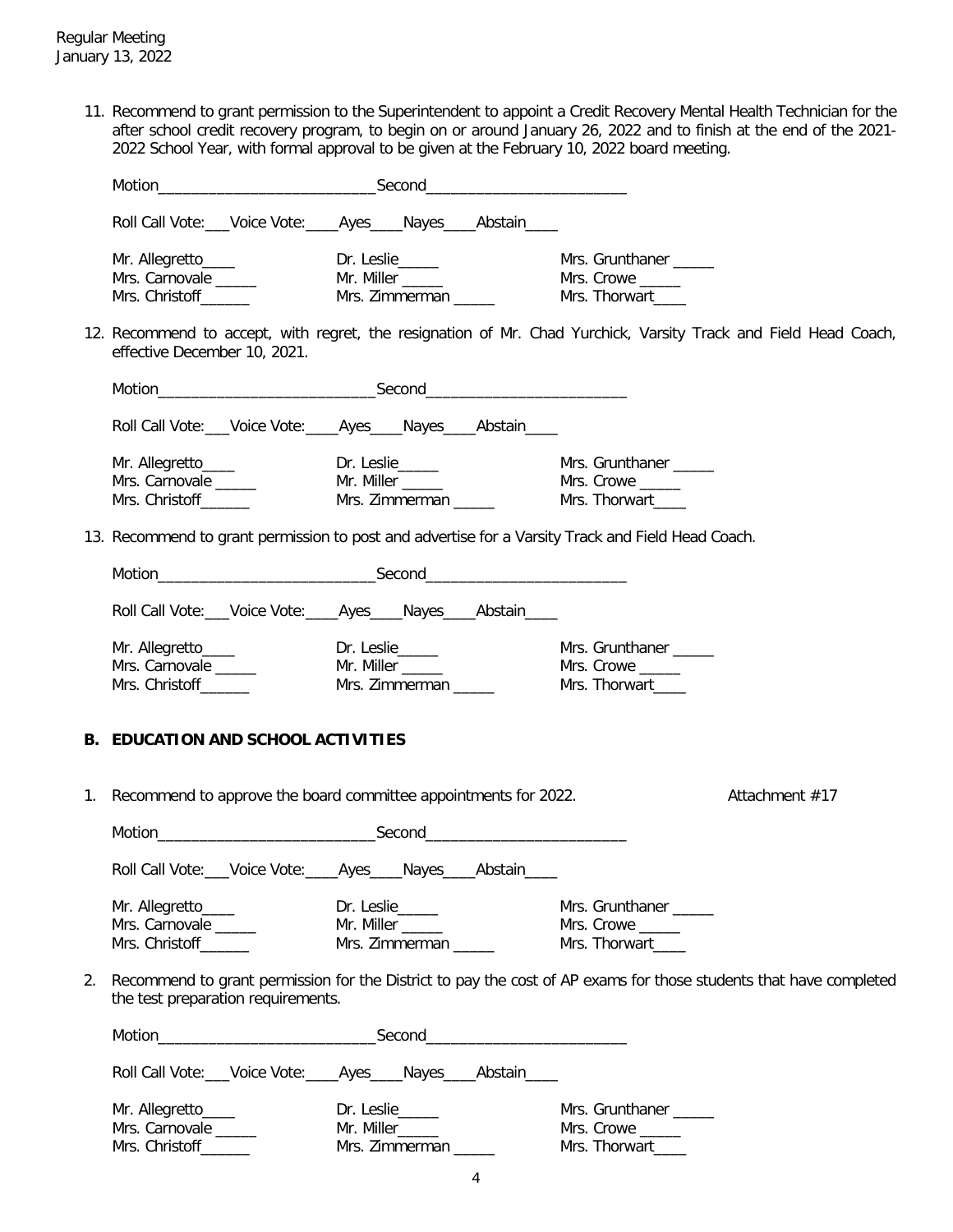11. Recommend to grant permission to the Superintendent to appoint a Credit Recovery Mental Health Technician for the after school credit recovery program, to begin on or around January 26, 2022 and to finish at the end of the 2021- 2022 School Year, with formal approval to be given at the February 10, 2022 board meeting.

|    | Roll Call Vote: Voice Vote: Ayes Nayes Abstain                                                                                                                                                                                 |                                          |                                                                                                                   |
|----|--------------------------------------------------------------------------------------------------------------------------------------------------------------------------------------------------------------------------------|------------------------------------------|-------------------------------------------------------------------------------------------------------------------|
|    |                                                                                                                                                                                                                                |                                          | Mrs. Grunthaner _____                                                                                             |
|    | Mrs. Carnovale ______                                                                                                                                                                                                          |                                          | Mrs. Crowe                                                                                                        |
|    | Mrs. Christoff_______                                                                                                                                                                                                          | Mrs. Zimmerman _____                     | Mrs. Thorwart____                                                                                                 |
|    | effective December 10, 2021.                                                                                                                                                                                                   |                                          | 12. Recommend to accept, with regret, the resignation of Mr. Chad Yurchick, Varsity Track and Field Head Coach,   |
|    |                                                                                                                                                                                                                                |                                          |                                                                                                                   |
|    | Roll Call Vote: ___ Voice Vote: ____ Ayes ____ Nayes ____ Abstain ____                                                                                                                                                         |                                          |                                                                                                                   |
|    | Mr. Allegretto____                                                                                                                                                                                                             | Dr. Leslie                               | Mrs. Grunthaner _____                                                                                             |
|    |                                                                                                                                                                                                                                |                                          |                                                                                                                   |
|    |                                                                                                                                                                                                                                |                                          |                                                                                                                   |
|    |                                                                                                                                                                                                                                |                                          |                                                                                                                   |
|    | 13. Recommend to grant permission to post and advertise for a Varsity Track and Field Head Coach.                                                                                                                              |                                          |                                                                                                                   |
|    |                                                                                                                                                                                                                                |                                          |                                                                                                                   |
|    | Roll Call Vote: ___ Voice Vote: ____ Ayes ____ Nayes ____ Abstain ____                                                                                                                                                         |                                          |                                                                                                                   |
|    | Mr. Allegretto_____                                                                                                                                                                                                            |                                          | Mrs. Grunthaner _____                                                                                             |
|    | Mrs. Carnovale _____                                                                                                                                                                                                           |                                          | Mrs. Crowe                                                                                                        |
|    | Mrs. Christoff_______                                                                                                                                                                                                          | Mr. Miller _____<br>Mrs. Zimmerman _____ | Mrs. Thorwart____                                                                                                 |
|    |                                                                                                                                                                                                                                |                                          |                                                                                                                   |
|    | <b>B. EDUCATION AND SCHOOL ACTIVITIES</b>                                                                                                                                                                                      |                                          |                                                                                                                   |
|    | 1. Recommend to approve the board committee appointments for 2022.                                                                                                                                                             |                                          | Attachment #17                                                                                                    |
|    | Motion Second Second Second Contract of the Second Second Contract of the Second Contract of the Second Contract of the Second Contract of the Second Contract of the Second Contract of the Second Contract of the Second Con |                                          |                                                                                                                   |
|    | Roll Call Vote: ___ Voice Vote: _____ Ayes ____ Nayes ____ Abstain ___                                                                                                                                                         |                                          |                                                                                                                   |
|    | Mr. Allegretto____                                                                                                                                                                                                             | Dr. Leslie_____                          | Mrs. Grunthaner _____                                                                                             |
|    | Mrs. Carnovale _____                                                                                                                                                                                                           | Mr. Miller _____                         | Mrs. Crowe                                                                                                        |
|    | Mrs. Christoff_______                                                                                                                                                                                                          | Mrs. Zimmerman _____                     | Mrs. Thorwart_____                                                                                                |
| 2. | the test preparation requirements.                                                                                                                                                                                             |                                          | Recommend to grant permission for the District to pay the cost of AP exams for those students that have completed |
|    |                                                                                                                                                                                                                                |                                          |                                                                                                                   |
|    | Roll Call Vote: ___ Voice Vote: _____ Ayes _____ Nayes _____ Abstain _____                                                                                                                                                     |                                          |                                                                                                                   |
|    | Mr. Allegretto____                                                                                                                                                                                                             | Dr. Leslie_____                          | Mrs. Grunthaner _____                                                                                             |
|    | Mrs. Carnovale _____                                                                                                                                                                                                           | Mr. Miller_____                          | Mrs. Crowe                                                                                                        |
|    | Mrs. Christoff_______                                                                                                                                                                                                          | Mrs. Zimmerman                           | Mrs. Thorwart____                                                                                                 |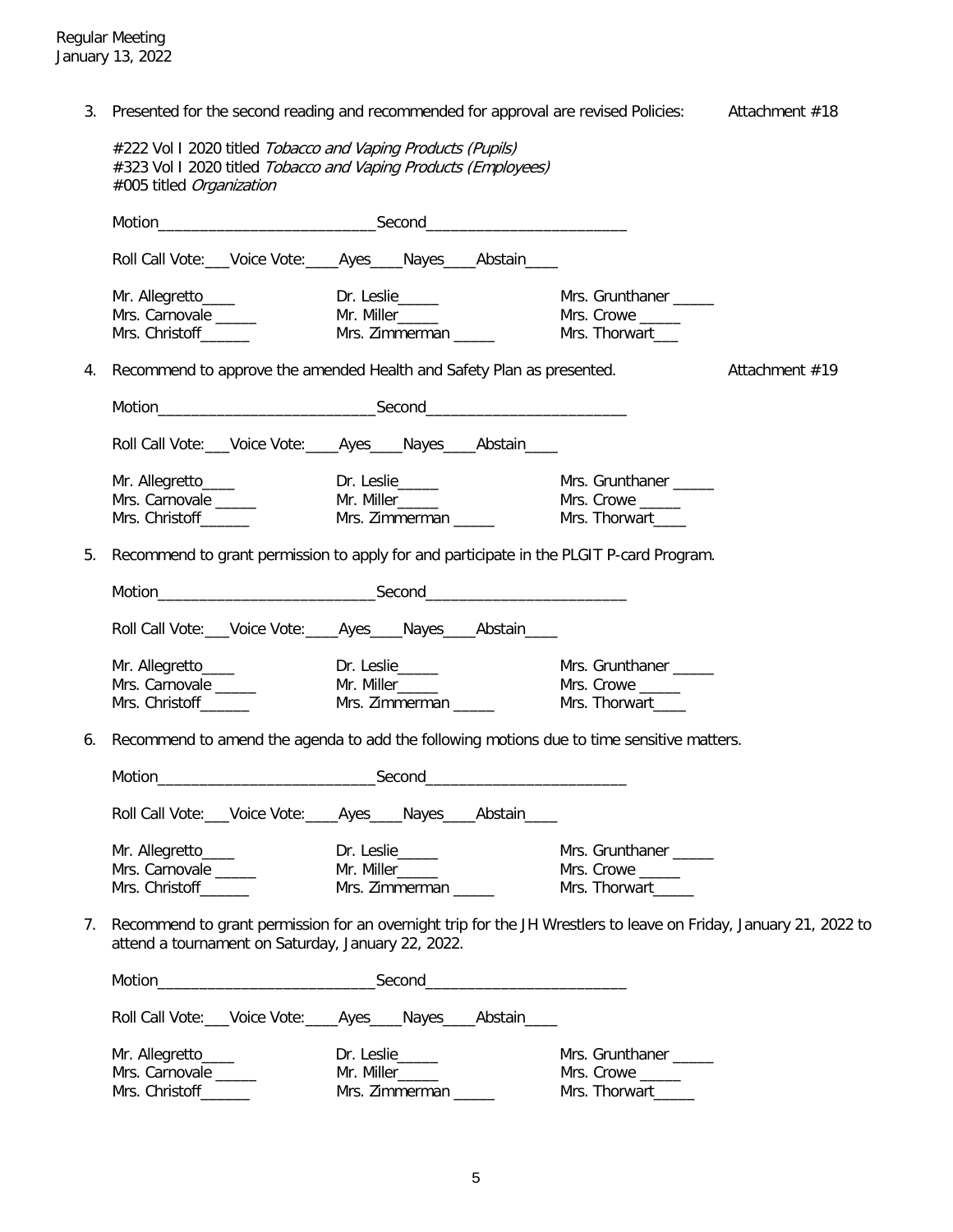3. Presented for the second reading and recommended for approval are revised Policies: Attachment #18

|    | #222 Vol I 2020 titled Tobacco and Vaping Products (Pupils)<br>#323 Vol I 2020 titled Tobacco and Vaping Products (Employees)<br>#005 titled Organization              |                                                            |                                                                  |                |
|----|------------------------------------------------------------------------------------------------------------------------------------------------------------------------|------------------------------------------------------------|------------------------------------------------------------------|----------------|
|    |                                                                                                                                                                        |                                                            |                                                                  |                |
|    | Roll Call Vote: Voice Vote: _____ Ayes _____ Nayes _____ Abstain _____                                                                                                 |                                                            |                                                                  |                |
|    | Mr. Allegretto____<br>Mrs. Carnovale<br>Mrs. Christoff______                                                                                                           |                                                            | Mrs. Grunthaner                                                  |                |
| 4. | Recommend to approve the amended Health and Safety Plan as presented.                                                                                                  |                                                            |                                                                  | Attachment #19 |
|    |                                                                                                                                                                        |                                                            |                                                                  |                |
|    | Roll Call Vote: Voice Vote: _____ Ayes _____ Nayes _____ Abstain _____                                                                                                 |                                                            |                                                                  |                |
|    |                                                                                                                                                                        |                                                            | Mrs. Grunthaner _____                                            |                |
| 5. | Recommend to grant permission to apply for and participate in the PLGIT P-card Program.                                                                                |                                                            |                                                                  |                |
|    |                                                                                                                                                                        |                                                            |                                                                  |                |
|    | Roll Call Vote: Voice Vote: Ayes Nayes Abstain                                                                                                                         |                                                            |                                                                  |                |
|    |                                                                                                                                                                        |                                                            | Mrs. Grunthaner _____                                            |                |
| 6. | Recommend to amend the agenda to add the following motions due to time sensitive matters.                                                                              |                                                            |                                                                  |                |
|    |                                                                                                                                                                        |                                                            |                                                                  |                |
|    | Roll Call Vote: Voice Vote: _____ Ayes_____ Nayes_____ Abstain_____                                                                                                    |                                                            |                                                                  |                |
|    | Mr. Allegretto_____<br>Mrs. Carnovale<br>Mrs. Christoff                                                                                                                | Dr. Leslie_____<br>Mr. Miller_____<br>Mrs. Zimmerman _____ | Mrs. Grunthaner _____<br>Mrs. Crowe _____<br>Mrs. Thorwart______ |                |
| 7. | Recommend to grant permission for an overnight trip for the JH Wrestlers to leave on Friday, January 21, 2022 to<br>attend a tournament on Saturday, January 22, 2022. |                                                            |                                                                  |                |
|    |                                                                                                                                                                        |                                                            |                                                                  |                |
|    | Roll Call Vote: ___ Voice Vote: ____ Ayes ____ Nayes ____ Abstain ____                                                                                                 |                                                            |                                                                  |                |
|    | Mr. Allegretto____<br>Mrs. Carnovale<br>Mrs. Christoff_______                                                                                                          | Dr. Leslie_____<br>Mr. Miller_____<br>Mrs. Zimmerman _____ | Mrs. Grunthaner _____<br>Mrs. Crowe<br>Mrs. Thorwart_____        |                |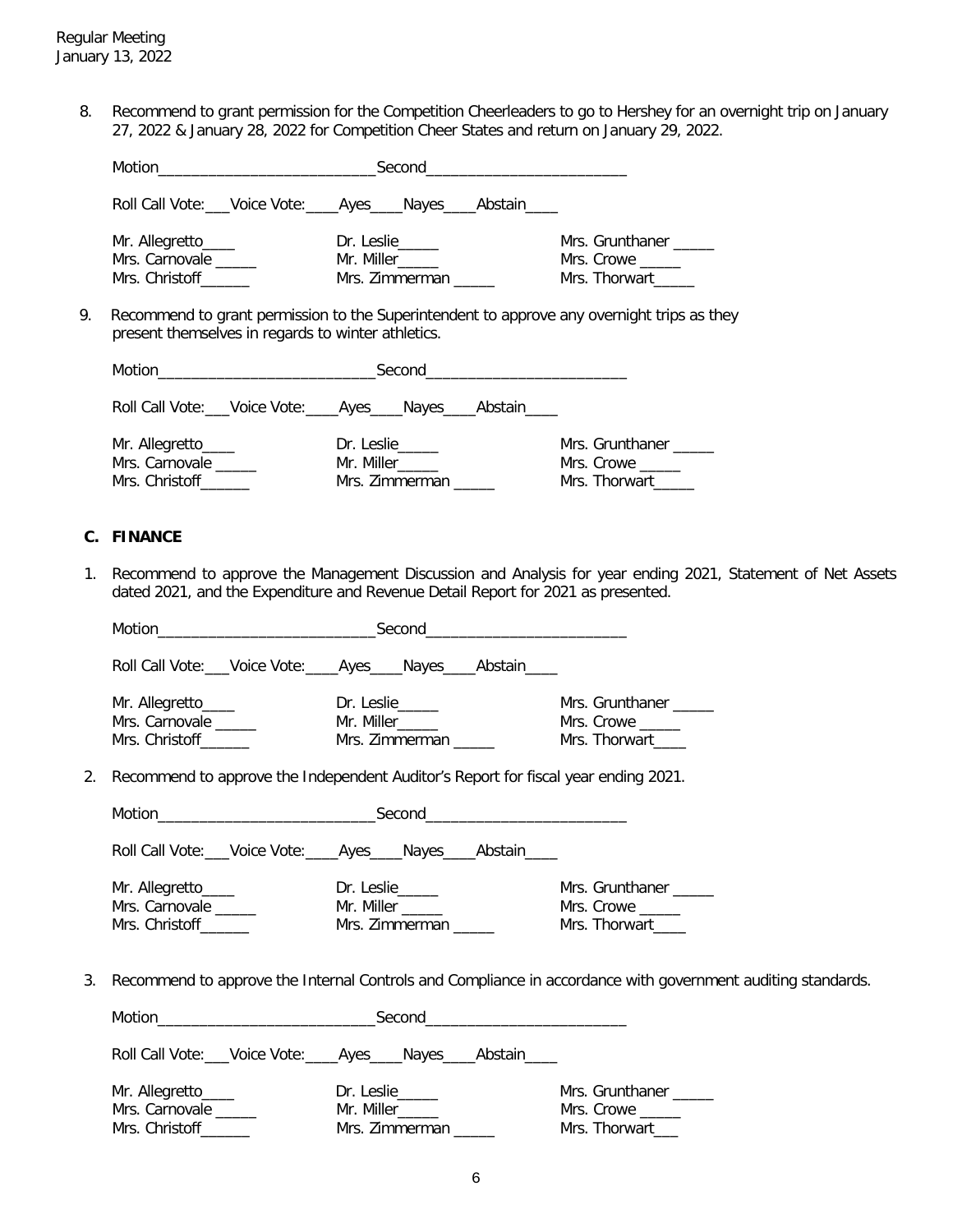8. Recommend to grant permission for the Competition Cheerleaders to go to Hershey for an overnight trip on January 27, 2022 & January 28, 2022 for Competition Cheer States and return on January 29, 2022.

|                                                        | Second_____________________________                                                          |                                                |  |  |  |
|--------------------------------------------------------|----------------------------------------------------------------------------------------------|------------------------------------------------|--|--|--|
|                                                        | Roll Call Vote: ___ Voice Vote: ____ Ayes ____ Nayes ____ Abstain _____                      |                                                |  |  |  |
| Mr. Allegretto____<br>Mrs. Carnovale<br>Mrs. Christoff | Dr. Leslie<br>Mr. Miller_____<br>Mrs. Zimmerman                                              | Mrs. Grunthaner<br>Mrs. Crowe<br>Mrs. Thorwart |  |  |  |
|                                                        | December of the month permission to the Cunomintendent to environ any overwhalf tripe on the |                                                |  |  |  |

 9. Recommend to grant permission to the Superintendent to approve any overnight trips as they present themselves in regards to winter athletics.

| Motion<br><u> 1989 - Johann Stone, fransk politiker (</u> |                                                                         |                                                |
|-----------------------------------------------------------|-------------------------------------------------------------------------|------------------------------------------------|
|                                                           | Roll Call Vote: ___ Voice Vote: ____ Ayes ____ Nayes ____ Abstain _____ |                                                |
| Mr. Allegretto_____<br>Mrs. Carnovale<br>Mrs. Christoff   | Dr. Leslie<br>Mr. Miller<br>Mrs. Zimmerman                              | Mrs. Grunthaner<br>Mrs. Crowe<br>Mrs. Thorwart |

## **C. FINANCE**

1. Recommend to approve the Management Discussion and Analysis for year ending 2021, Statement of Net Assets dated 2021, and the Expenditure and Revenue Detail Report for 2021 as presented.

|    |                                                                       | Roll Call Vote: Voice Vote: ____ Ayes ____ Nayes ____ Abstain ____                 |                                                                                                                |
|----|-----------------------------------------------------------------------|------------------------------------------------------------------------------------|----------------------------------------------------------------------------------------------------------------|
|    | Mr. Allegretto_____<br>Mrs. Carnovale _____<br>Mrs. Christoff______   | Dr. Leslie<br>Mr. Miller______<br>Mrs. Zimmerman _____                             | Mrs. Grunthaner _____<br>Mrs. Crowe _____<br>Mrs. Thorwart____                                                 |
| 2. |                                                                       | Recommend to approve the Independent Auditor's Report for fiscal year ending 2021. |                                                                                                                |
|    |                                                                       |                                                                                    |                                                                                                                |
|    |                                                                       | Roll Call Vote: Voice Vote: Ayes Nayes Abstain                                     |                                                                                                                |
|    | Mr. Allegretto_____<br>Mrs. Carnovale ______<br>Mrs. Christoff_______ | Dr. Leslie<br>Mr. Miller<br>Mrs. Zimmerman _____                                   | Mrs. Grunthaner _____<br>Mrs. Crowe _____<br>Mrs. Thorwart_____                                                |
|    |                                                                       |                                                                                    | 3. Recommend to approve the Internal Controls and Compliance in accordance with government auditing standards. |
|    |                                                                       |                                                                                    |                                                                                                                |
|    |                                                                       | Roll Call Vote: Voice Vote: _____ Ayes_____ Nayes_____ Abstain_____                |                                                                                                                |
|    | Mr. Allegretto_____<br>Mrs. Carnovale _____<br>Mrs. Christoff         | Dr. Leslie<br>Mrs. Zimmerman                                                       | Mrs. Grunthaner _____<br>Mrs. Crowe _____<br>Mrs. Thorwart___                                                  |